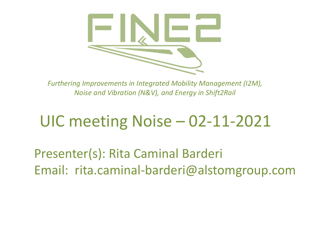

*Furthering Improvements in Integrated Mobility Management (I2M), Noise and Vibration (N&V), and Energy in Shift2Rail* 

## UIC meeting Noise – 02-11-2021

Presenter(s): Rita Caminal Barderi Email: rita.caminal-barderi@alstomgroup.com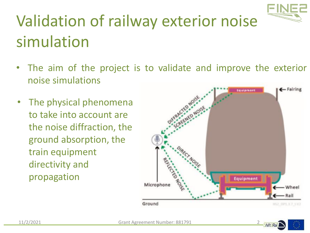

- The aim of the project is to validate and improve the exterior noise simulations
- The physical phenomena to take into account are the noise diffraction, the ground absorption, the train equipment directivity and propagation



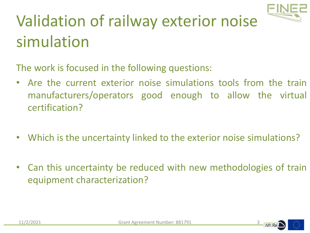

The work is focused in the following questions:

- Are the current exterior noise simulations tools from the train manufacturers/operators good enough to allow the virtual certification?
- Which is the uncertainty linked to the exterior noise simulations?
- Can this uncertainty be reduced with new methodologies of train equipment characterization?



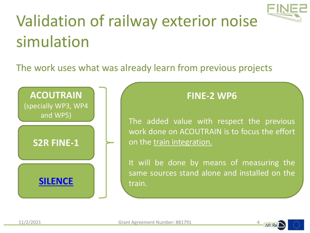

## The work uses what was already learn from previous projects



## **FINE-2 WP6**

The added value with respect the previous work done on ACOUTRAIN is to focus the effort on the train integration.

It will be done by means of measuring the same sources stand alone and installed on the train.

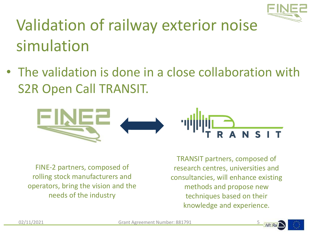

• The validation is done in a close collaboration with S2R Open Call TRANSIT.



FINE-2 partners, composed of rolling stock manufacturers and operators, bring the vision and the needs of the industry

TRANSIT partners, composed of research centres, universities and consultancies, will enhance existing methods and propose new techniques based on their knowledge and experience.



02/11/2021 Grant Agreement Number: 881791

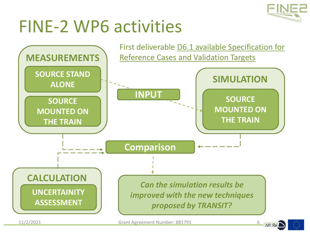

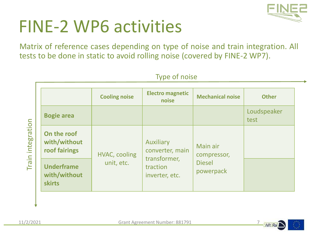

Matrix of reference cases depending on type of noise and train integration. All tests to be done in static to avoid rolling noise (covered by FINE-2 WP7).

|             |                                                    | <b>Cooling noise</b>               | <b>Electro magnetic</b><br>noise                                                  | <b>Mechanical noise</b>                               | <b>Other</b>        |
|-------------|----------------------------------------------------|------------------------------------|-----------------------------------------------------------------------------------|-------------------------------------------------------|---------------------|
|             | <b>Bogie area</b>                                  |                                    |                                                                                   |                                                       | Loudspeaker<br>test |
| integration | On the roof<br>with/without<br>roof fairings       | <b>HVAC, cooling</b><br>unit, etc. | <b>Auxiliary</b><br>converter, main<br>transformer,<br>traction<br>inverter, etc. | Main air<br>compressor,<br><b>Diesel</b><br>powerpack |                     |
| Train       | <b>Underframe</b><br>with/without<br><b>skirts</b> |                                    |                                                                                   |                                                       |                     |

Type of noise

Train integration

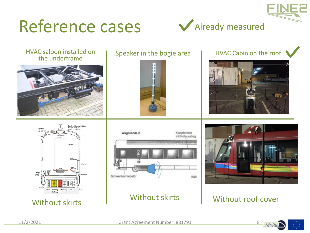

## Reference cases





#### Speaker in the bogie area **HVAC Cabin on the roof**











## Without skirts **Without skirts** Without Skirts Without roof cover



hift Ra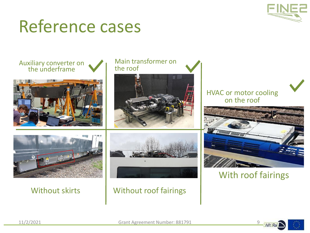

## Reference cases

#### Auxiliary converter on the underframe



### Main transformer on the roof







### Without skirts | Without roof fairings

### HVAC or motor cooling on the roof



## With roof fairings

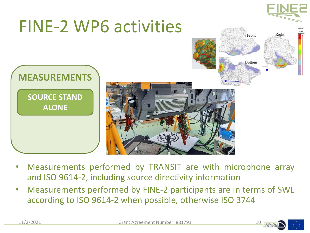



- Measurements performed by TRANSIT are with microphone array and ISO 9614-2, including source directivity information
- Measurements performed by FINE-2 participants are in terms of SWL according to ISO 9614-2 when possible, otherwise ISO 3744

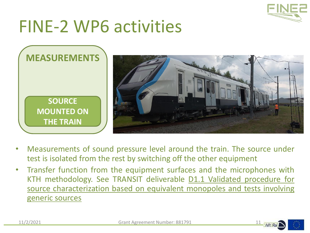



- Measurements of sound pressure level around the train. The source under test is isolated from the rest by switching off the other equipment
- Transfer function from the equipment surfaces and the microphones with KTH methodology. See TRANSIT deliverable D1.1 Validated procedure for source characterization based on equivalent monopoles and tests involving generic sources

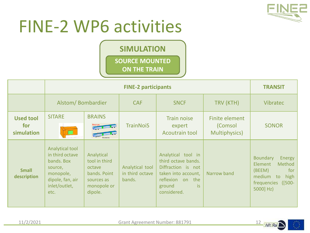

**SIMULATION**

**SOURCE MOUNTED** 

**ON THE TRAIN**

|                                       |                                                                                                                       | <b>TRANSIT</b>                                                                                |                                              |                                                                                                                                                        |                                                    |                                                                                                                                            |
|---------------------------------------|-----------------------------------------------------------------------------------------------------------------------|-----------------------------------------------------------------------------------------------|----------------------------------------------|--------------------------------------------------------------------------------------------------------------------------------------------------------|----------------------------------------------------|--------------------------------------------------------------------------------------------------------------------------------------------|
|                                       | Alstom/Bombardier                                                                                                     |                                                                                               | <b>CAF</b>                                   | <b>SNCF</b>                                                                                                                                            | TRV (KTH)                                          | <b>Vibratec</b>                                                                                                                            |
| <b>Used tool</b><br>for<br>simulation | <b>SITARE</b><br>$\bullet$                                                                                            | <b>BRAINS</b>                                                                                 | <b>TrainNoiS</b>                             | <b>Train noise</b><br>expert<br><b>Acoutrain tool</b>                                                                                                  | Finite element<br>(Comsol<br><b>Multiphysics</b> ) | <b>SONOR</b>                                                                                                                               |
| <b>Small</b><br>description           | Analytical tool<br>in third octave<br>bands. Box<br>source,<br>monopole,<br>dipole, fan, air<br>inlet/outlet,<br>etc. | Analytical<br>tool in third<br>octave<br>bands. Point<br>sources as<br>monopole or<br>dipole. | Analytical tool<br>in third octave<br>bands. | Analytical tool in<br>third octave bands.<br>Diffraction is not<br>taken into account,<br>reflexion<br>the<br>on<br><i>is</i><br>ground<br>considered. | Narrow band                                        | <b>Boundary</b><br><b>Energy</b><br>Method<br>Element<br>for<br>(BEEM)<br>medium<br>high<br>to<br>frequencies<br>$($ [500-<br>$5000$ ] Hz) |

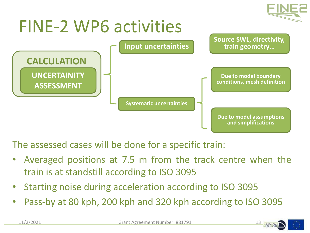



The assessed cases will be done for a specific train:

- Averaged positions at 7.5 m from the track centre when the train is at standstill according to ISO 3095
- Starting noise during acceleration according to ISO 3095
- Pass-by at 80 kph, 200 kph and 320 kph according to ISO 3095

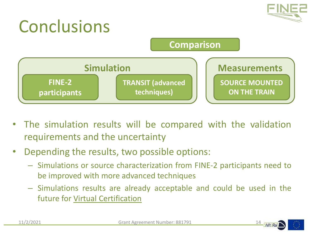

# Conclusions



- The simulation results will be compared with the validation requirements and the uncertainty
- Depending the results, two possible options:
	- Simulations or source characterization from FINE-2 participants need to be improved with more advanced techniques
	- Simulations results are already acceptable and could be used in the future for Virtual Certification